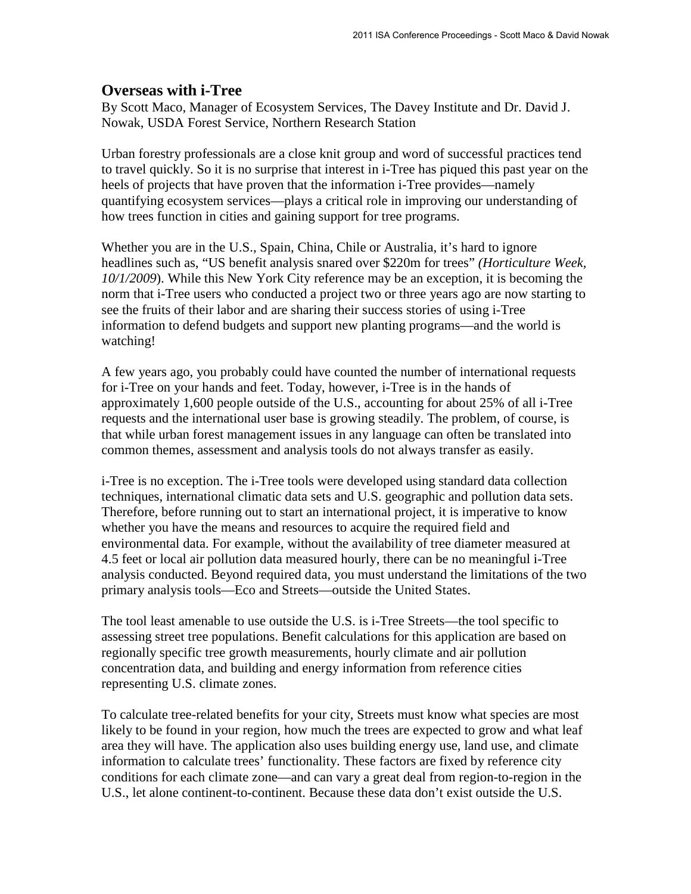## **Overseas with i-Tree**

By Scott Maco, Manager of Ecosystem Services, The Davey Institute and Dr. David J. Nowak, USDA Forest Service, Northern Research Station

Urban forestry professionals are a close knit group and word of successful practices tend to travel quickly. So it is no surprise that interest in i-Tree has piqued this past year on the heels of projects that have proven that the information i-Tree provides—namely quantifying ecosystem services—plays a critical role in improving our understanding of how trees function in cities and gaining support for tree programs.

Whether you are in the U.S., Spain, China, Chile or Australia, it's hard to ignore headlines such as, "US benefit analysis snared over \$220m for trees" *(Horticulture Week, 10/1/2009*). While this New York City reference may be an exception, it is becoming the norm that i-Tree users who conducted a project two or three years ago are now starting to see the fruits of their labor and are sharing their success stories of using i-Tree information to defend budgets and support new planting programs—and the world is watching!

A few years ago, you probably could have counted the number of international requests for i-Tree on your hands and feet. Today, however, i-Tree is in the hands of approximately 1,600 people outside of the U.S., accounting for about 25% of all i-Tree requests and the international user base is growing steadily. The problem, of course, is that while urban forest management issues in any language can often be translated into common themes, assessment and analysis tools do not always transfer as easily.

i-Tree is no exception. The i-Tree tools were developed using standard data collection techniques, international climatic data sets and U.S. geographic and pollution data sets. Therefore, before running out to start an international project, it is imperative to know whether you have the means and resources to acquire the required field and environmental data. For example, without the availability of tree diameter measured at 4.5 feet or local air pollution data measured hourly, there can be no meaningful i-Tree analysis conducted. Beyond required data, you must understand the limitations of the two primary analysis tools—Eco and Streets—outside the United States.

The tool least amenable to use outside the U.S. is i-Tree Streets—the tool specific to assessing street tree populations. Benefit calculations for this application are based on regionally specific tree growth measurements, hourly climate and air pollution concentration data, and building and energy information from reference cities representing U.S. climate zones.

To calculate tree-related benefits for your city, Streets must know what species are most likely to be found in your region, how much the trees are expected to grow and what leaf area they will have. The application also uses building energy use, land use, and climate information to calculate trees' functionality. These factors are fixed by reference city conditions for each climate zone—and can vary a great deal from region-to-region in the U.S., let alone continent-to-continent. Because these data don't exist outside the U.S.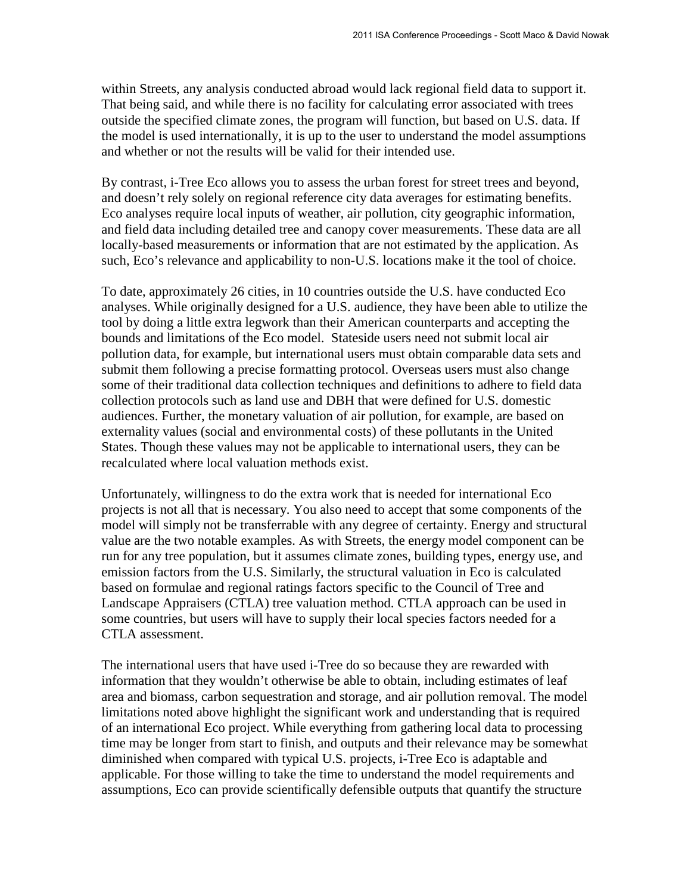within Streets, any analysis conducted abroad would lack regional field data to support it. That being said, and while there is no facility for calculating error associated with trees outside the specified climate zones, the program will function, but based on U.S. data. If the model is used internationally, it is up to the user to understand the model assumptions and whether or not the results will be valid for their intended use.

By contrast, i-Tree Eco allows you to assess the urban forest for street trees and beyond, and doesn't rely solely on regional reference city data averages for estimating benefits. Eco analyses require local inputs of weather, air pollution, city geographic information, and field data including detailed tree and canopy cover measurements. These data are all locally-based measurements or information that are not estimated by the application. As such, Eco's relevance and applicability to non-U.S. locations make it the tool of choice.

To date, approximately 26 cities, in 10 countries outside the U.S. have conducted Eco analyses. While originally designed for a U.S. audience, they have been able to utilize the tool by doing a little extra legwork than their American counterparts and accepting the bounds and limitations of the Eco model. Stateside users need not submit local air pollution data, for example, but international users must obtain comparable data sets and submit them following a precise formatting protocol. Overseas users must also change some of their traditional data collection techniques and definitions to adhere to field data collection protocols such as land use and DBH that were defined for U.S. domestic audiences. Further, the monetary valuation of air pollution, for example, are based on externality values (social and environmental costs) of these pollutants in the United States. Though these values may not be applicable to international users, they can be recalculated where local valuation methods exist.

Unfortunately, willingness to do the extra work that is needed for international Eco projects is not all that is necessary. You also need to accept that some components of the model will simply not be transferrable with any degree of certainty. Energy and structural value are the two notable examples. As with Streets, the energy model component can be run for any tree population, but it assumes climate zones, building types, energy use, and emission factors from the U.S. Similarly, the structural valuation in Eco is calculated based on formulae and regional ratings factors specific to the Council of Tree and Landscape Appraisers (CTLA) tree valuation method. CTLA approach can be used in some countries, but users will have to supply their local species factors needed for a CTLA assessment.

The international users that have used i-Tree do so because they are rewarded with information that they wouldn't otherwise be able to obtain, including estimates of leaf area and biomass, carbon sequestration and storage, and air pollution removal. The model limitations noted above highlight the significant work and understanding that is required of an international Eco project. While everything from gathering local data to processing time may be longer from start to finish, and outputs and their relevance may be somewhat diminished when compared with typical U.S. projects, i-Tree Eco is adaptable and applicable. For those willing to take the time to understand the model requirements and assumptions, Eco can provide scientifically defensible outputs that quantify the structure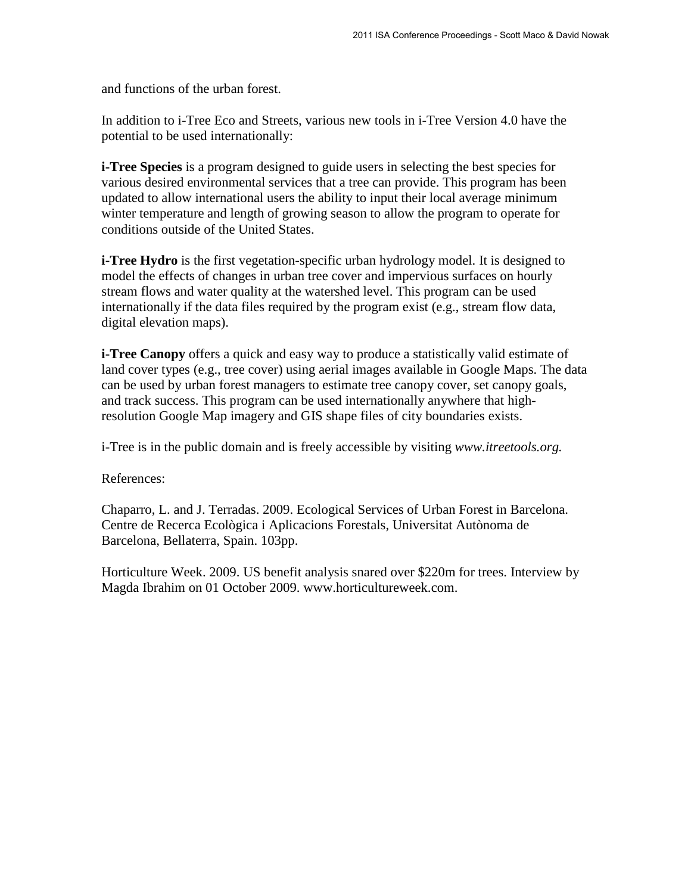and functions of the urban forest.

In addition to i-Tree Eco and Streets, various new tools in i-Tree Version 4.0 have the potential to be used internationally:

**i-Tree Species** is a program designed to guide users in selecting the best species for various desired environmental services that a tree can provide. This program has been updated to allow international users the ability to input their local average minimum winter temperature and length of growing season to allow the program to operate for conditions outside of the United States.

**i-Tree Hydro** is the first vegetation-specific urban hydrology model. It is designed to model the effects of changes in urban tree cover and impervious surfaces on hourly stream flows and water quality at the watershed level. This program can be used internationally if the data files required by the program exist (e.g., stream flow data, digital elevation maps).

**i-Tree Canopy** offers a quick and easy way to produce a statistically valid estimate of land cover types (e.g., tree cover) using aerial images available in Google Maps. The data can be used by urban forest managers to estimate tree canopy cover, set canopy goals, and track success. This program can be used internationally anywhere that highresolution Google Map imagery and GIS shape files of city boundaries exists.

i-Tree is in the public domain and is freely accessible by visiting *[www.itreetools.org.](http://www.itreetools.org/)*

References:

Chaparro, L. and J. Terradas. 2009. Ecological Services of Urban Forest in Barcelona. Centre de Recerca Ecològica i Aplicacions Forestals, Universitat Autònoma de Barcelona, Bellaterra, Spain. 103pp.

Horticulture Week. 2009. US benefit analysis snared over \$220m for trees. Interview by Magda Ibrahim on 01 October 2009. www.horticultureweek.com.